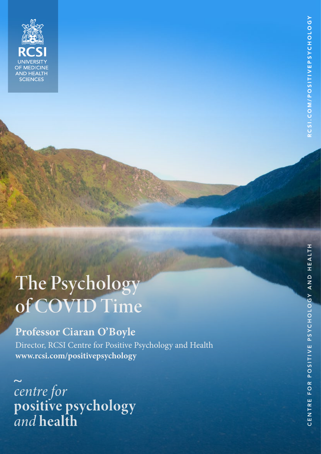

CIENCES

# **Professor Ciaran O'Boyle**

Director, RCSI Centre for Positive Psychology and Health **www.rcsi.com/positivepsychology**

centre for<br>positive psychology<br>and health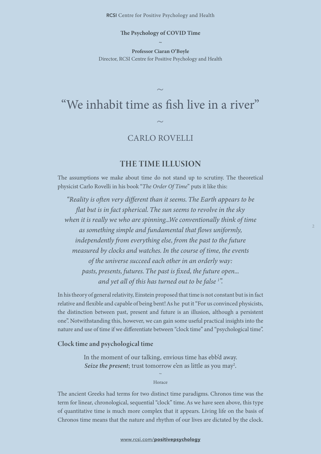### **The Psychology of COVID Time ~**

**Professor Ciaran O'Boyle** Director, RCSI Centre for Positive Psychology and Health

# "We inhabit time as fish live in a river"  $\sim$

 $\sim$ 

# CARLO ROVELLI

## THE TIME ILLUSION

The assumptions we make about time do not stand up to scrutiny. The theoretical physicist Carlo Rovelli in his book "*The Order Of Time*" puts it like this:

*"Reality is often very different than it seems. The Earth appears to be flat but is in fact spherical. The sun seems to revolve in the sky when it is really we who are spinning...We conventionally think of time as something simple and fundamental that flows uniformly, independently from everything else, from the past to the future measured by clocks and watches. In the course of time, the events of the universe succeed each other in an orderly way: pasts, presents, futures. The past is fixed, the future open... and yet all of this has turned out to be false 1 ".* 

In his theory of general relativity, Einstein proposed that time is not constant but is in fact relative and flexible and capable of being bent! As he put it "For us convinced physicists, the distinction between past, present and future is an illusion, although a persistent one". Notwithstanding this, however, we can gain some useful practical insights into the nature and use of time if we differentiate between "clock time" and "psychological time".

#### Clock time and psychological time

In the moment of our talking, envious time has ebb'd away. Seize the present; trust tomorrow e'en as little as you may<sup>2</sup>.

> $\sim$ Horace

The ancient Greeks had terms for two distinct time paradigms. Chronos time was the term for linear, chronological, sequential "clock" time. As we have seen above, this type of quantitative time is much more complex that it appears. Living life on the basis of Chronos time means that the nature and rhythm of our lives are dictated by the clock.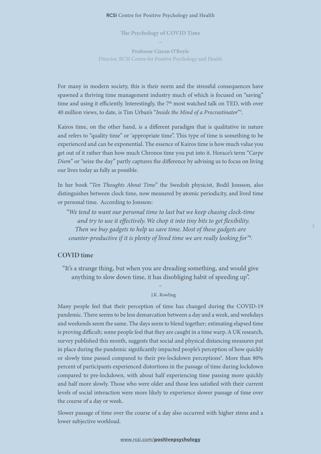**The Psychology of COVID Time**  $\sim$ 

**Professor Ciaran O'Boyle** Director, RCSI Centre for Positive Psychology and Health

For many in modern society, this is their norm and the stressful consequences have spawned a thriving time management industry much of which is focused on "saving" time and using it efficiently. Interestingly, the 7<sup>th</sup> most watched talk on TED, with over 40 million views, to date, is Tim Urban's "*Inside the Mind of a Procrastinator*"3 .

Kairos time, on the other hand, is a different paradigm that is qualitative in nature and refers to "quality time" or 'appropriate time". This type of time is something to be experienced and can be exponential. The essence of Kairos time is how much value you get out of it rather than how much Chronos time you put into it. Horace's term "*Carpe Diem*" or "seize the day" partly captures the difference by advising us to focus on living our lives today as fully as possible.

In her book "*Ten Thoughts About Time*" the Swedish physicist, Bodil Jonsson, also distinguishes between clock time, now measured by atomic periodicity, and lived time or personal time. According to Jonsson:

*"We tend to want our personal time to last but we keep chasing clock-time and try to use it effectively. We chop it into tiny bits to get flexibility. Then we buy gadgets to help us save time. Most of these gadgets are counter-productive if it is plenty of lived time we are really looking for"4 .* 

#### COVID time

"It's a strange thing, but when you are dreading something, and would give anything to slow down time, it has disobliging habit of speeding up".

#### $\ddot{\phantom{0}}$ J.K. Rowling

Many people feel that their perception of time has changed during the COVID-19 pandemic. There seems to be less demarcation between a day and a week, and weekdays and weekends seem the same. The days seem to blend together; estimating elapsed time is proving difficult; some people feel that they are caught in a time warp. A UK research, survey published this month, suggests that social and physical distancing measures put in place during the pandemic significantly impacted people's perception of how quickly or slowly time passed compared to their pre-lockdown perceptions<sup>5</sup>. More than 80% percent of participants experienced distortions in the passage of time during lockdown compared to pre-lockdown, with about half experiencing time passing more quickly and half more slowly. Those who were older and those less satisfied with their current levels of social interaction were more likely to experience slower passage of time over the course of a day or week.

Slower passage of time over the course of a day also occurred with higher stress and a lower subjective workload.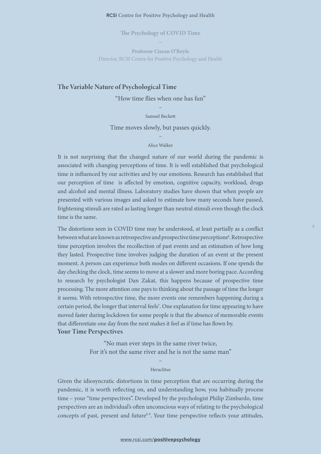**The Psychology of COVID Time**  $\sim$ 

**Professor Ciaran O'Boyle** Director, RCSI Centre for Positive Psychology and Health

#### The Variable Nature of Psychological Time

"How time flies when one has fun"

 $\sim$ Samuel Beckett

Time moves slowly, but passes quickly.

#### $\sim$ Alice Walker

It is not surprising that the changed nature of our world during the pandemic is associated with changing perceptions of time. It is well established that psychological time is influenced by our activities and by our emotions. Research has established that our perception of time is affected by emotion, cognitive capacity, workload, drugs and alcohol and mental illness. Laboratory studies have shown that when people are presented with various images and asked to estimate how many seconds have passed, frightening stimuli are rated as lasting longer than neutral stimuli even though the clock time is the same.

The distortions seen in COVID time may be understood, at least partially as a conflict between what are known as retrospective and prospective time perceptions<sup>6</sup>. Retrospective time perception involves the recollection of past events and an estimation of how long they lasted. Prospective time involves judging the duration of an event at the present moment. A person can experience both modes on different occasions. If one spends the day checking the clock, time seems to move at a slower and more boring pace. According to research by psychologist Dan Zakat, this happens because of prospective time processing. The more attention one pays to thinking about the passage of time the longer it seems. With retrospective time, the more events one remembers happening during a certain period, the longer that interval feels<sup>7</sup>. One explanation for time appearing to have moved faster during lockdown for some people is that the absence of memorable events that differentiate one day from the next makes it feel as if time has flown by. Your Time Perspectives

> "No man ever steps in the same river twice, For it's not the same river and he is not the same man"

#### $\ddot{\phantom{0}}$ Heraclitus

Given the idiosyncratic distortions in time perception that are occurring during the pandemic, it is worth reflecting on, and understanding how, you habitually process time – your "time perspectives". Developed by the psychologist Philip Zimbardo, time perspectives are an individual's often unconscious ways of relating to the psychological concepts of past, present and future<sup>8 9</sup>. Your time perspective reflects your attitudes,

#### www.rcsi.com/[positivepsychology](https://www.rcsi.com/positivepsychology)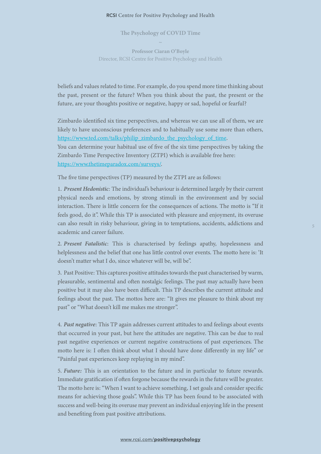**The Psychology of COVID Time**  $\sim$ 

**Professor Ciaran O'Boyle** Director, RCSI Centre for Positive Psychology and Health

beliefs and values related to time. For example, do you spend more time thinking about the past, present or the future? When you think about the past, the present or the future, are your thoughts positive or negative, happy or sad, hopeful or fearful?

Zimbardo identified six time perspectives, and whereas we can use all of them, we are likely to have unconscious preferences and to habitually use some more than others, [https://www.ted.com/talks/philip](https://www.ted.com/talks/philip_zimbardo_the_psychology_of_time)\_zimbardo\_the\_psychology\_of\_time. You can determine your habitual use of five of the six time perspectives by taking the Zimbardo Time Perspective Inventory (ZTPI) which is available free here: https://www.thetimeparadox.com/surveys/.

The five time perspectives (TP) measured by the ZTPI are as follows:

1. *Present Hedonistic*: The individual's behaviour is determined largely by their current physical needs and emotions, by strong stimuli in the environment and by social interaction. There is little concern for the consequences of actions. The motto is "If it feels good, do it". While this TP is associated with pleasure and enjoyment, its overuse can also result in risky behaviour, giving in to temptations, accidents, addictions and academic and career failure.

2. *Present Fatalistic*: This is characterised by feelings apathy, hopelessness and helplessness and the belief that one has little control over events. The motto here is: 'It doesn't matter what I do, since whatever will be, will be".

3. Past Positive: This captures positive attitudes towards the past characterised by warm, pleasurable, sentimental and often nostalgic feelings. The past may actually have been positive but it may also have been difficult. This TP describes the current attitude and feelings about the past. The mottos here are: "It gives me pleasure to think about my past" or "What doesn't kill me makes me stronger".

4. *Past negative*: This TP again addresses current attitudes to and feelings about events that occurred in your past, but here the attitudes are negative. This can be due to real past negative experiences or current negative constructions of past experiences. The motto here is: I often think about what I should have done differently in my life" or "Painful past experiences keep replaying in my mind".

5. *Future:* This is an orientation to the future and in particular to future rewards. Immediate gratification if often forgone because the rewards in the future will be greater. The motto here is: "When I want to achieve something, I set goals and consider specific means for achieving those goals". While this TP has been found to be associated with success and well-being its overuse may prevent an individual enjoying life in the present and benefiting from past positive attributions.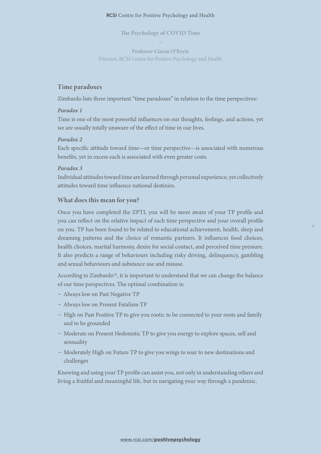**The Psychology of COVID Time**  $\sim$ 

**Professor Ciaran O'Boyle** Director, RCSI Centre for Positive Psychology and Health

#### Time paradoxes

Zimbardo lists three important "time paradoxes" in relation to the time perspectives:

#### *Paradox 1*

Time is one of the most powerful influences on our thoughts, feelings, and actions, yet we are usually totally unaware of the effect of time in our lives.

#### *Paradox 2*

Each specific attitude toward time—or time perspective—is associated with numerous benefits, yet in excess each is associated with even greater costs.

#### *Paradox 3*

Individual attitudes toward time are learned through personal experience, yet collectively attitudes toward time influence national destinies.

#### What does this mean for you?

Once you have completed the ZPTI, you will be more aware of your TP profile and you can reflect on the relative impact of each time perspective and your overall profile on you. TP has been found to be related to educational achievement, health, sleep and dreaming patterns and the choice of romantic partners. It influences food choices, health choices, marital harmony, desire for social contact, and perceived time pressure. It also predicts a range of behaviours including risky driving, delinquency, gambling and sexual behaviours and substance use and misuse.

According to Zimbardo<sup>10</sup>, it is important to understand that we can change the balance of our time perspectives. The optimal combination is:

- ~ Always low on Past Negative TP
- ~ Always low on Present Fatalism TP
- ~ High on Past Positive TP to give you roots; to be connected to your roots and family and to be grounded
- ~ Moderate on Present Hedonistic TP to give you energy to explore spaces, self and sensuality
- ~ Moderately High on Future TP to give you wings to soar to new destinations and challenges

Knowing and using your TP profile can assist you, not only in understanding others and living a fruitful and meaningful life, but in navigating your way through a pandemic.

#### www.rcsi.com/[positivepsychology](https://www.rcsi.com/positivepsychology)